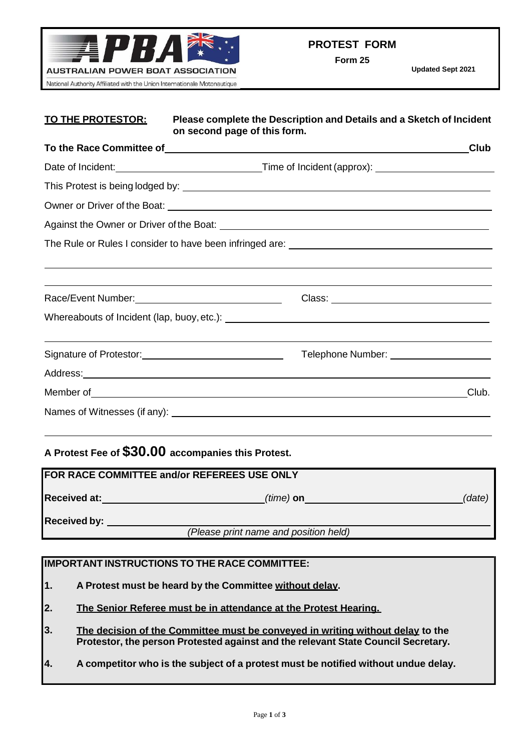

**Form 25**

| <u>TO THE PROTESTOR:</u>                                                                                                                                                                                                       | Please complete the Description and Details and a Sketch of Incident<br>on second page of this form.                                                                                                                                    |
|--------------------------------------------------------------------------------------------------------------------------------------------------------------------------------------------------------------------------------|-----------------------------------------------------------------------------------------------------------------------------------------------------------------------------------------------------------------------------------------|
|                                                                                                                                                                                                                                | To the Race Committee of example and the contract of the Race Committee of<br>Club                                                                                                                                                      |
|                                                                                                                                                                                                                                | Date of Incident: <u>contract and a set of the Time of Incident</u> (approx): <u>contract and a set of Incident</u> Cape                                                                                                                |
|                                                                                                                                                                                                                                |                                                                                                                                                                                                                                         |
|                                                                                                                                                                                                                                |                                                                                                                                                                                                                                         |
|                                                                                                                                                                                                                                |                                                                                                                                                                                                                                         |
|                                                                                                                                                                                                                                |                                                                                                                                                                                                                                         |
|                                                                                                                                                                                                                                | ,我们也不会有什么。""我们的人,我们也不会有什么?""我们的人,我们也不会有什么?""我们的人,我们也不会有什么?""我们的人,我们也不会有什么?""我们的人                                                                                                                                                        |
|                                                                                                                                                                                                                                |                                                                                                                                                                                                                                         |
| Race/Event Number: 1999 March 1999 March 1999 March 1999 March 1999 March 1999 March 1999 March 1999 March 199                                                                                                                 |                                                                                                                                                                                                                                         |
|                                                                                                                                                                                                                                |                                                                                                                                                                                                                                         |
| Signature of Protestor: 2000 Contract Contract Contract Contract Contract Contract Contract Contract Contract Contract Contract Contract Contract Contract Contract Contract Contract Contract Contract Contract Contract Cont | Telephone Number: ______________________                                                                                                                                                                                                |
|                                                                                                                                                                                                                                | Address: <u>Address:</u> Address: Address: Address: Address: Address: Address: Address: Address: Address: Address: Address: Address: Address: Address: Address: Address: Address: Address: Address: Address: Address: Address: Addr     |
|                                                                                                                                                                                                                                | Member of example and the set of the set of the set of the set of the set of the set of the set of the set of the set of the set of the set of the set of the set of the set of the set of the set of the set of the set of th<br>Club. |
|                                                                                                                                                                                                                                |                                                                                                                                                                                                                                         |

## **A Protest Fee of \$30.00 accompanies this Protest.**

| FOR RACE COMMITTEE and/or REFEREES USE ONLY |                                       |        |  |  |  |
|---------------------------------------------|---------------------------------------|--------|--|--|--|
| <b>Received at:</b>                         | $(time)$ on                           | (date) |  |  |  |
| <b>Received by:</b>                         |                                       |        |  |  |  |
|                                             | (Please print name and position held) |        |  |  |  |

## **IMPORTANT INSTRUCTIONS TO THE RACE COMMITTEE:**

- **1. A Protest must be heard by the Committee without delay.**
- **2. The Senior Referee must be in attendance at the Protest Hearing.**
- **3. The decision of the Committee must be conveyed in writing without delay to the Protestor, the person Protested against and the relevant State Council Secretary.**
- **4. A competitor who is the subject of a protest must be notified without undue delay.**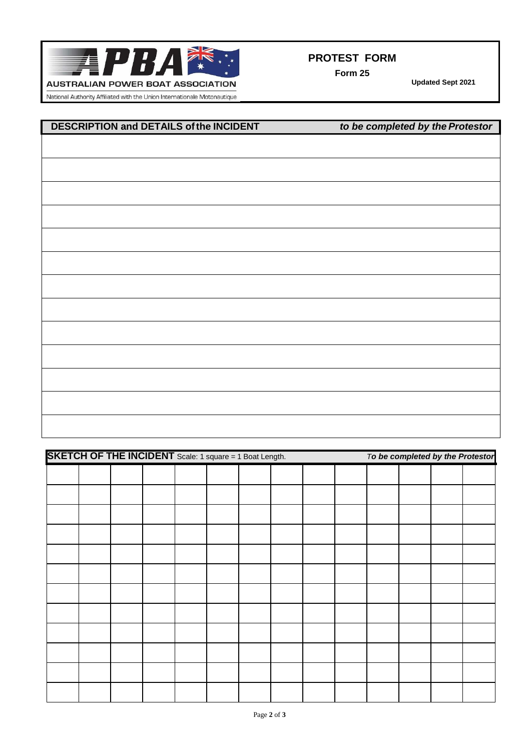

**Form 25**

**Updated Sept 2021**

National Authority Affiliated with the Union Internationale Motonautique

## **DESCRIPTION and DETAILS ofthe INCIDENT** *to be completed by the Protestor*

| <b>SKETCH OF THE INCIDENT</b> Scale: 1 square = 1 Boat Length. |  |  |  |  |  | To be completed by the Protestor |  |  |  |  |
|----------------------------------------------------------------|--|--|--|--|--|----------------------------------|--|--|--|--|
|                                                                |  |  |  |  |  |                                  |  |  |  |  |
|                                                                |  |  |  |  |  |                                  |  |  |  |  |
|                                                                |  |  |  |  |  |                                  |  |  |  |  |
|                                                                |  |  |  |  |  |                                  |  |  |  |  |
|                                                                |  |  |  |  |  |                                  |  |  |  |  |
|                                                                |  |  |  |  |  |                                  |  |  |  |  |
|                                                                |  |  |  |  |  |                                  |  |  |  |  |
|                                                                |  |  |  |  |  |                                  |  |  |  |  |
|                                                                |  |  |  |  |  |                                  |  |  |  |  |
|                                                                |  |  |  |  |  |                                  |  |  |  |  |
|                                                                |  |  |  |  |  |                                  |  |  |  |  |
|                                                                |  |  |  |  |  |                                  |  |  |  |  |